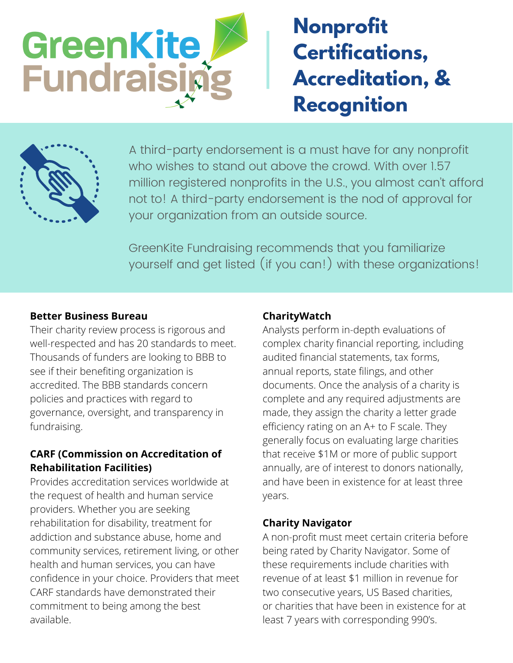

# **Nonprofit Certifications, Accreditation, & Recognition**



A third-party endorsement is a must have for any nonprofit who wishes to stand out above the crowd. With over 1.57 million registered nonprofits in the U.S., you almost can't afford not to! A third-party endorsement is the nod of approval for your organization from an outside source.

GreenKite Fundraising recommends that you familiarize yourself and get listed (if you can!) with these organizations!

#### **Better Business Bureau**

Their charity review process is rigorous and well-respected and has 20 standards to meet. Thousands of funders are looking to BBB to see if their benefiting organization is accredited. The BBB standards concern policies and practices with regard to governance, oversight, and transparency in fundraising.

#### **CARF (Commission on Accreditation of Rehabilitation Facilities)**

Provides accreditation services worldwide at the request of health and human service providers. Whether you are seeking rehabilitation for disability, treatment for addiction and substance abuse, home and community services, retirement living, or other health and human services, you can have confidence in your choice. Providers that meet CARF standards have demonstrated their commitment to being among the best available.

#### **CharityWatch**

Analysts perform in-depth evaluations of complex charity financial reporting, including audited financial statements, tax forms, annual reports, state filings, and other documents. Once the analysis of a charity is complete and any required adjustments are made, they assign the charity a letter grade efficiency rating on an A+ to F scale. They generally focus on evaluating large charities that receive \$1M or more of public support annually, are of interest to donors nationally, and have been in existence for at least three years.

## **Charity Navigator**

A non-profit must meet certain criteria before being rated by Charity Navigator. Some of these requirements include charities with revenue of at least \$1 million in revenue for two consecutive years, US Based charities, or charities that have been in existence for at least 7 years with corresponding 990's.